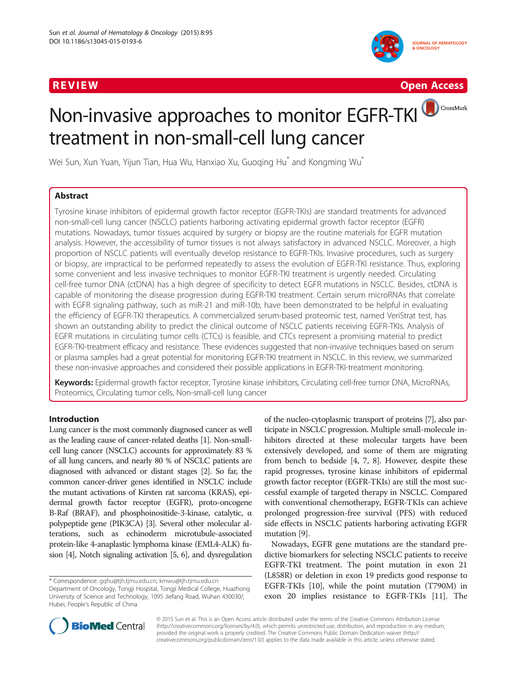

R EVI EW Open Access

# CrossMark Non-invasive approaches to monitor EGFR-TKI treatment in non-small-cell lung cancer

Wei Sun, Xun Yuan, Yijun Tian, Hua Wu, Hanxiao Xu, Guoqing Hu<sup>\*</sup> and Kongming Wu<sup>\*</sup>

# Abstract

Tyrosine kinase inhibitors of epidermal growth factor receptor (EGFR-TKIs) are standard treatments for advanced non-small-cell lung cancer (NSCLC) patients harboring activating epidermal growth factor receptor (EGFR) mutations. Nowadays, tumor tissues acquired by surgery or biopsy are the routine materials for EGFR mutation analysis. However, the accessibility of tumor tissues is not always satisfactory in advanced NSCLC. Moreover, a high proportion of NSCLC patients will eventually develop resistance to EGFR-TKIs. Invasive procedures, such as surgery or biopsy, are impractical to be performed repeatedly to assess the evolution of EGFR-TKI resistance. Thus, exploring some convenient and less invasive techniques to monitor EGFR-TKI treatment is urgently needed. Circulating cell-free tumor DNA (ctDNA) has a high degree of specificity to detect EGFR mutations in NSCLC. Besides, ctDNA is capable of monitoring the disease progression during EGFR-TKI treatment. Certain serum microRNAs that correlate with EGFR signaling pathway, such as miR-21 and miR-10b, have been demonstrated to be helpful in evaluating the efficiency of EGFR-TKI therapeutics. A commercialized serum-based proteomic test, named VeriStrat test, has shown an outstanding ability to predict the clinical outcome of NSCLC patients receiving EGFR-TKIs. Analysis of EGFR mutations in circulating tumor cells (CTCs) is feasible, and CTCs represent a promising material to predict EGFR-TKI-treatment efficacy and resistance. These evidences suggested that non-invasive techniques based on serum or plasma samples had a great potential for monitoring EGFR-TKI treatment in NSCLC. In this review, we summarized these non-invasive approaches and considered their possible applications in EGFR-TKI-treatment monitoring.

Keywords: Epidermal growth factor receptor, Tyrosine kinase inhibitors, Circulating cell-free tumor DNA, MicroRNAs, Proteomics, Circulating tumor cells, Non-small-cell lung cancer

# Introduction

Lung cancer is the most commonly diagnosed cancer as well as the leading cause of cancer-related deaths [\[1\]](#page-6-0). Non-smallcell lung cancer (NSCLC) accounts for approximately 83 % of all lung cancers, and nearly 80 % of NSCLC patients are diagnosed with advanced or distant stages [\[2](#page-6-0)]. So far, the common cancer-driver genes identified in NSCLC include the mutant activations of Kirsten rat sarcoma (KRAS), epidermal growth factor receptor (EGFR), proto-oncogene B-Raf (BRAF), and phosphoinositide-3-kinase, catalytic, α polypeptide gene (PIK3CA) [\[3\]](#page-6-0). Several other molecular alterations, such as echinoderm microtubule-associated protein-like 4-anaplastic lymphoma kinase (EML4-ALK) fusion [[4](#page-6-0)], Notch signaling activation [\[5, 6](#page-6-0)], and dysregulation

\* Correspondence: [gqhu@tjh.tjmu.edu.cn](mailto:gqhu@tjh.tjmu.edu.cn); [kmwu@tjh.tjmu.edu.cn](mailto:kmwu@tjh.tjmu.edu.cn) Department of Oncology, Tongji Hospital, Tongji Medical College, Huazhong University of Science and Technology, 1095 Jiefang Road, Wuhan 430030/, Hubei, People's Republic of China

of the nucleo-cytoplasmic transport of proteins [[7](#page-6-0)], also participate in NSCLC progression. Multiple small-molecule inhibitors directed at these molecular targets have been extensively developed, and some of them are migrating from bench to bedside [\[4, 7](#page-6-0), [8](#page-6-0)]. However, despite these rapid progresses, tyrosine kinase inhibitors of epidermal growth factor receptor (EGFR-TKIs) are still the most successful example of targeted therapy in NSCLC. Compared with conventional chemotherapy, EGFR-TKIs can achieve prolonged progression-free survival (PFS) with reduced side effects in NSCLC patients harboring activating EGFR mutation [\[9\]](#page-6-0).

Nowadays, EGFR gene mutations are the standard predictive biomarkers for selecting NSCLC patients to receive EGFR-TKI treatment. The point mutation in exon 21 (L858R) or deletion in exon 19 predicts good response to EGFR-TKIs [\[10\]](#page-6-0), while the point mutation (T790M) in exon 20 implies resistance to EGFR-TKIs [[11](#page-6-0)]. The



© 2015 Sun et al. This is an Open Access article distributed under the terms of the Creative Commons Attribution License [\(http://creativecommons.org/licenses/by/4.0\)](http://creativecommons.org/licenses/by/4.0), which permits unrestricted use, distribution, and reproduction in any medium, provided the original work is properly credited. The Creative Commons Public Domain Dedication waiver [\(http://](http://creativecommons.org/publicdomain/zero/1.0/) [creativecommons.org/publicdomain/zero/1.0/\)](http://creativecommons.org/publicdomain/zero/1.0/) applies to the data made available in this article, unless otherwise stated.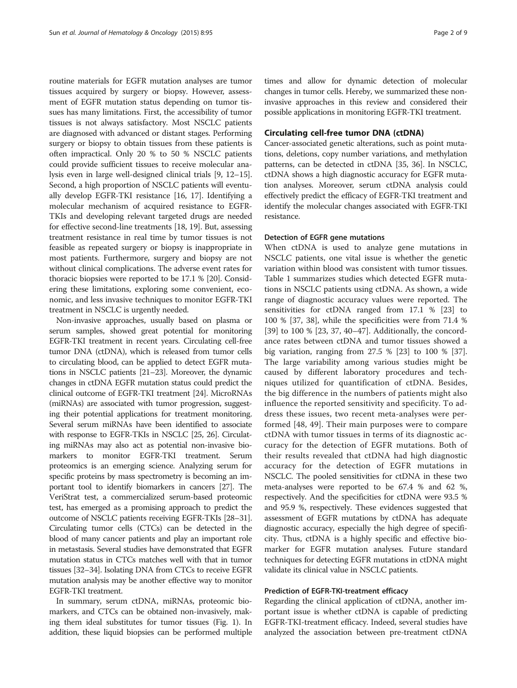routine materials for EGFR mutation analyses are tumor tissues acquired by surgery or biopsy. However, assessment of EGFR mutation status depending on tumor tissues has many limitations. First, the accessibility of tumor tissues is not always satisfactory. Most NSCLC patients are diagnosed with advanced or distant stages. Performing surgery or biopsy to obtain tissues from these patients is often impractical. Only 20 % to 50 % NSCLC patients could provide sufficient tissues to receive molecular analysis even in large well-designed clinical trials [[9](#page-6-0), [12](#page-6-0)–[15](#page-6-0)]. Second, a high proportion of NSCLC patients will eventually develop EGFR-TKI resistance [\[16](#page-6-0), [17](#page-6-0)]. Identifying a molecular mechanism of acquired resistance to EGFR-TKIs and developing relevant targeted drugs are needed for effective second-line treatments [[18](#page-6-0), [19\]](#page-6-0). But, assessing treatment resistance in real time by tumor tissues is not feasible as repeated surgery or biopsy is inappropriate in most patients. Furthermore, surgery and biopsy are not without clinical complications. The adverse event rates for thoracic biopsies were reported to be 17.1 % [\[20\]](#page-6-0). Considering these limitations, exploring some convenient, economic, and less invasive techniques to monitor EGFR-TKI treatment in NSCLC is urgently needed.

Non-invasive approaches, usually based on plasma or serum samples, showed great potential for monitoring EGFR-TKI treatment in recent years. Circulating cell-free tumor DNA (ctDNA), which is released from tumor cells to circulating blood, can be applied to detect EGFR mutations in NSCLC patients [[21](#page-6-0)–[23](#page-7-0)]. Moreover, the dynamic changes in ctDNA EGFR mutation status could predict the clinical outcome of EGFR-TKI treatment [\[24\]](#page-7-0). MicroRNAs (miRNAs) are associated with tumor progression, suggesting their potential applications for treatment monitoring. Several serum miRNAs have been identified to associate with response to EGFR-TKIs in NSCLC [\[25, 26\]](#page-7-0). Circulating miRNAs may also act as potential non-invasive biomarkers to monitor EGFR-TKI treatment. Serum proteomics is an emerging science. Analyzing serum for specific proteins by mass spectrometry is becoming an important tool to identify biomarkers in cancers [[27\]](#page-7-0). The VeriStrat test, a commercialized serum-based proteomic test, has emerged as a promising approach to predict the outcome of NSCLC patients receiving EGFR-TKIs [\[28](#page-7-0)–[31](#page-7-0)]. Circulating tumor cells (CTCs) can be detected in the blood of many cancer patients and play an important role in metastasis. Several studies have demonstrated that EGFR mutation status in CTCs matches well with that in tumor tissues [[32](#page-7-0)–[34](#page-7-0)]. Isolating DNA from CTCs to receive EGFR mutation analysis may be another effective way to monitor EGFR-TKI treatment.

In summary, serum ctDNA, miRNAs, proteomic biomarkers, and CTCs can be obtained non-invasively, making them ideal substitutes for tumor tissues (Fig. [1](#page-2-0)). In addition, these liquid biopsies can be performed multiple

times and allow for dynamic detection of molecular changes in tumor cells. Hereby, we summarized these noninvasive approaches in this review and considered their possible applications in monitoring EGFR-TKI treatment.

## Circulating cell-free tumor DNA (ctDNA)

Cancer-associated genetic alterations, such as point mutations, deletions, copy number variations, and methylation patterns, can be detected in ctDNA [[35, 36](#page-7-0)]. In NSCLC, ctDNA shows a high diagnostic accuracy for EGFR mutation analyses. Moreover, serum ctDNA analysis could effectively predict the efficacy of EGFR-TKI treatment and identify the molecular changes associated with EGFR-TKI resistance.

#### Detection of EGFR gene mutations

When ctDNA is used to analyze gene mutations in NSCLC patients, one vital issue is whether the genetic variation within blood was consistent with tumor tissues. Table [1](#page-3-0) summarizes studies which detected EGFR mutations in NSCLC patients using ctDNA. As shown, a wide range of diagnostic accuracy values were reported. The sensitivities for ctDNA ranged from 17.1 % [[23\]](#page-7-0) to 100 % [\[37, 38\]](#page-7-0), while the specificities were from 71.4 % [[39\]](#page-7-0) to 100 % [\[23](#page-7-0), [37](#page-7-0), [40](#page-7-0)–[47\]](#page-7-0). Additionally, the concordance rates between ctDNA and tumor tissues showed a big variation, ranging from 27.5 % [[23](#page-7-0)] to 100 % [\[37](#page-7-0)]. The large variability among various studies might be caused by different laboratory procedures and techniques utilized for quantification of ctDNA. Besides, the big difference in the numbers of patients might also influence the reported sensitivity and specificity. To address these issues, two recent meta-analyses were performed [[48, 49](#page-7-0)]. Their main purposes were to compare ctDNA with tumor tissues in terms of its diagnostic accuracy for the detection of EGFR mutations. Both of their results revealed that ctDNA had high diagnostic accuracy for the detection of EGFR mutations in NSCLC. The pooled sensitivities for ctDNA in these two meta-analyses were reported to be 67.4 % and 62 %, respectively. And the specificities for ctDNA were 93.5 % and 95.9 %, respectively. These evidences suggested that assessment of EGFR mutations by ctDNA has adequate diagnostic accuracy, especially the high degree of specificity. Thus, ctDNA is a highly specific and effective biomarker for EGFR mutation analyses. Future standard techniques for detecting EGFR mutations in ctDNA might validate its clinical value in NSCLC patients.

#### Prediction of EGFR-TKI-treatment efficacy

Regarding the clinical application of ctDNA, another important issue is whether ctDNA is capable of predicting EGFR-TKI-treatment efficacy. Indeed, several studies have analyzed the association between pre-treatment ctDNA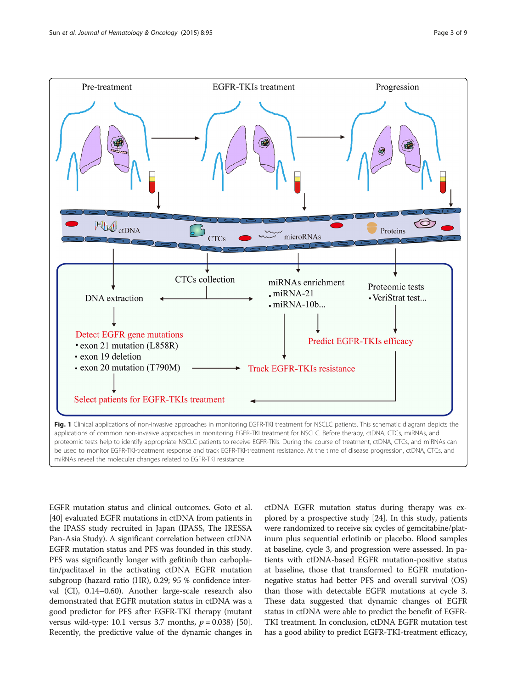<span id="page-2-0"></span>

miRNAs reveal the molecular changes related to EGFR-TKI resistance

EGFR mutation status and clinical outcomes. Goto et al. [[40](#page-7-0)] evaluated EGFR mutations in ctDNA from patients in the IPASS study recruited in Japan (IPASS, The IRESSA Pan-Asia Study). A significant correlation between ctDNA EGFR mutation status and PFS was founded in this study. PFS was significantly longer with gefitinib than carboplatin/paclitaxel in the activating ctDNA EGFR mutation subgroup (hazard ratio (HR), 0.29; 95 % confidence interval (CI), 0.14–0.60). Another large-scale research also demonstrated that EGFR mutation status in ctDNA was a good predictor for PFS after EGFR-TKI therapy (mutant versus wild-type: 10.1 versus 3.7 months,  $p = 0.038$  [[50](#page-7-0)]. Recently, the predictive value of the dynamic changes in

ctDNA EGFR mutation status during therapy was explored by a prospective study [[24](#page-7-0)]. In this study, patients were randomized to receive six cycles of gemcitabine/platinum plus sequential erlotinib or placebo. Blood samples at baseline, cycle 3, and progression were assessed. In patients with ctDNA-based EGFR mutation-positive status at baseline, those that transformed to EGFR mutationnegative status had better PFS and overall survival (OS) than those with detectable EGFR mutations at cycle 3. These data suggested that dynamic changes of EGFR status in ctDNA were able to predict the benefit of EGFR-TKI treatment. In conclusion, ctDNA EGFR mutation test has a good ability to predict EGFR-TKI-treatment efficacy,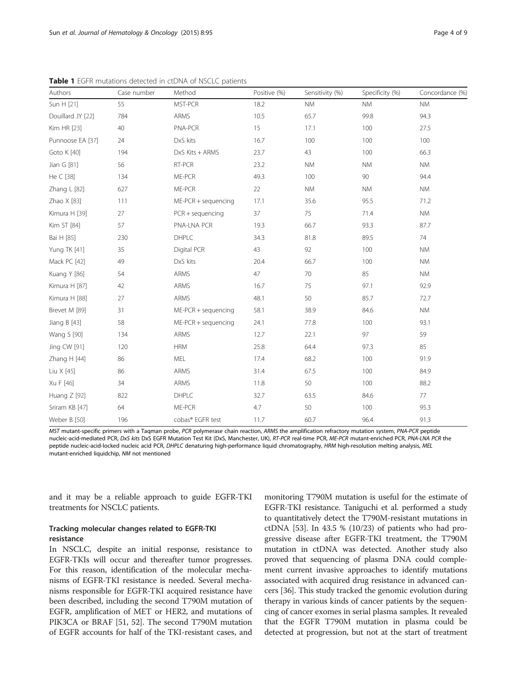<span id="page-3-0"></span>

| Table 1 EGFR mutations detected in ctDNA of NSCLC patients |             |                       |              |                 |                 |                 |  |
|------------------------------------------------------------|-------------|-----------------------|--------------|-----------------|-----------------|-----------------|--|
| Authors                                                    | Case number | Method                | Positive (%) | Sensitivity (%) | Specificity (%) | Concordance (%) |  |
| Sun H [21]                                                 | 55          | MST-PCR               | 18.2         | <b>NM</b>       | <b>NM</b>       | <b>NM</b>       |  |
| Douillard JY [22]                                          | 784         | ARMS                  | 10.5         | 65.7            | 99.8            | 94.3            |  |
| Kim HR [23]                                                | 40          | PNA-PCR               | 15           | 17.1            | 100             | 27.5            |  |
| Punnoose EA [37]                                           | 24          | DxS kits              | 16.7         | 100             | 100             | 100             |  |
| Goto K [40]                                                | 194         | DxS Kits + ARMS       | 23.7         | 43              | 100             | 66.3            |  |
| Jian G [81]                                                | 56          | RT-PCR                | 23.2         | <b>NM</b>       | <b>NM</b>       | <b>NM</b>       |  |
| He C [38]                                                  | 134         | ME-PCR                | 49.3         | 100             | 90              | 94.4            |  |
| Zhang L [82]                                               | 627         | ME-PCR                | 22           | <b>NM</b>       | <b>NM</b>       | <b>NM</b>       |  |
| Zhao X [83]                                                | 111         | $ME-PCR + sequencing$ | 17.1         | 35.6            | 95.5            | 71.2            |  |
| Kimura H [39]                                              | 27          | $PCR + sequencing$    | 37           | 75              | 71.4            | <b>NM</b>       |  |
| Kim ST [84]                                                | 57          | PNA-LNA PCR           | 19.3         | 66.7            | 93.3            | 87.7            |  |
| Bai H [85]                                                 | 230         | DHPLC                 | 34.3         | 81.8            | 89.5            | 74              |  |
| Yung TK [41]                                               | 35          | Digital PCR           | 43           | 92              | 100             | <b>NM</b>       |  |
| Mack PC [42]                                               | 49          | DxS kits              | 20.4         | 66.7            | 100             | <b>NM</b>       |  |
| Kuang Y [86]                                               | 54          | ARMS                  | 47           | 70              | 85              | <b>NM</b>       |  |
| Kimura H [87]                                              | 42          | ARMS                  | 16.7         | 75              | 97.1            | 92.9            |  |
| Kimura H [88]                                              | 27          | ARMS                  | 48.1         | 50              | 85.7            | 72.7            |  |
| Brevet M [89]                                              | 31          | $ME-PCR + sequencing$ | 58.1         | 38.9            | 84.6            | <b>NM</b>       |  |
| Jiang $B$ [43]                                             | 58          | $ME-PCR + sequencing$ | 24.1         | 77.8            | 100             | 93.1            |  |
| Wang S [90]                                                | 134         | ARMS                  | 12.7         | 22.1            | 97              | 59              |  |

**Table 1** EGFR mutations detected in ctDNA of NSCLC patients

MST mutant-specific primers with a Taqman probe, PCR polymerase chain reaction, ARMS the amplification refractory mutation system, PNA-PCR peptide<br>pucleic-acid-mediated PCR. DxS kits DxS EGER Mutation Test Kit (DxS. Manche nucleic-acid-mediated PCR, *DxS kits* DxS EGFR Mutation Test Kit (DxS, Manchester, UK), *RT-PCR* real-time PCR, *ME-PCR* mutant-enriched PCR, *PNA-LNA PCR t*he<br>pentide pucleic-acid-locked pucleic acid PCR. DHPLC depaturing peptide nucleic-acid-locked nucleic acid PCR, DHPLC denaturing high-performance liquid chromatography, HRM high-resolution melting analysis, MEL mutant-enriched liquidchip, NM not mentioned

Jing CW [\[91](#page-8-0)] 120 HRM 25.8 64.4 97.3 85 Zhang H [\[44\]](#page-7-0) 86 MEL 17.4 68.2 100 91.9 Liu X [\[45\]](#page-7-0) 86 ARMS 31.4 67.5 100 84.9 Xu F [[46](#page-7-0)] 34 ARMS 11.8 50 100 88.2 Huang Z [\[92\]](#page-8-0) 822 DHPLC 32.7 63.5 84.6 77 Sriram KB [[47](#page-7-0)] 64 ME-PCR 4.7 50 100 95.3 Weber B [\[50\]](#page-7-0) 196 cobas® EGFR test 11.7 60.7 96.4 91.3

and it may be a reliable approach to guide EGFR-TKI treatments for NSCLC patients.

# Tracking molecular changes related to EGFR-TKI resistance

In NSCLC, despite an initial response, resistance to EGFR-TKIs will occur and thereafter tumor progresses. For this reason, identification of the molecular mechanisms of EGFR-TKI resistance is needed. Several mechanisms responsible for EGFR-TKI acquired resistance have been described, including the second T790M mutation of EGFR, amplification of MET or HER2, and mutations of PIK3CA or BRAF [\[51, 52](#page-7-0)]. The second T790M mutation of EGFR accounts for half of the TKI-resistant cases, and

monitoring T790M mutation is useful for the estimate of EGFR-TKI resistance. Taniguchi et al. performed a study to quantitatively detect the T790M-resistant mutations in ctDNA  $[53]$ . In 43.5 %  $(10/23)$  of patients who had progressive disease after EGFR-TKI treatment, the T790M mutation in ctDNA was detected. Another study also proved that sequencing of plasma DNA could complement current invasive approaches to identify mutations associated with acquired drug resistance in advanced cancers [\[36\]](#page-7-0). This study tracked the genomic evolution during therapy in various kinds of cancer patients by the sequencing of cancer exomes in serial plasma samples. It revealed that the EGFR T790M mutation in plasma could be detected at progression, but not at the start of treatment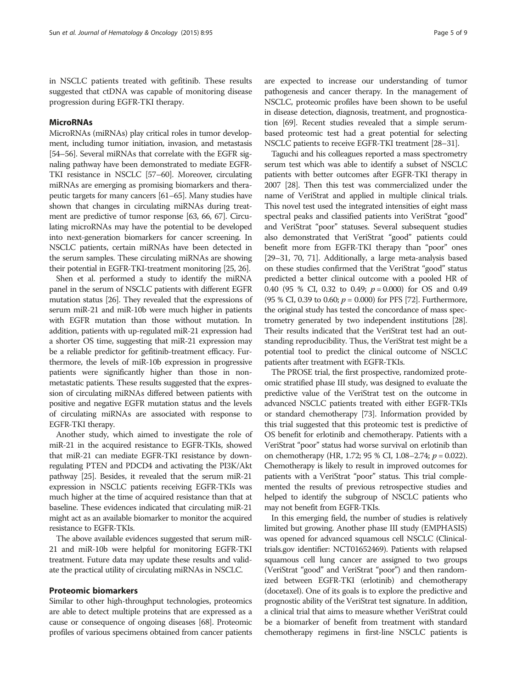in NSCLC patients treated with gefitinib. These results suggested that ctDNA was capable of monitoring disease progression during EGFR-TKI therapy.

### **MicroRNAs**

MicroRNAs (miRNAs) play critical roles in tumor development, including tumor initiation, invasion, and metastasis [[54](#page-7-0)–[56](#page-7-0)]. Several miRNAs that correlate with the EGFR signaling pathway have been demonstrated to mediate EGFR-TKI resistance in NSCLC [[57](#page-7-0)–[60](#page-7-0)]. Moreover, circulating miRNAs are emerging as promising biomarkers and therapeutic targets for many cancers [\[61](#page-7-0)–[65\]](#page-8-0). Many studies have shown that changes in circulating miRNAs during treatment are predictive of tumor response [[63,](#page-7-0) [66, 67\]](#page-8-0). Circulating microRNAs may have the potential to be developed into next-generation biomarkers for cancer screening. In NSCLC patients, certain miRNAs have been detected in the serum samples. These circulating miRNAs are showing their potential in EGFR-TKI-treatment monitoring [\[25, 26\]](#page-7-0).

Shen et al. performed a study to identify the miRNA panel in the serum of NSCLC patients with different EGFR mutation status [\[26\]](#page-7-0). They revealed that the expressions of serum miR-21 and miR-10b were much higher in patients with EGFR mutation than those without mutation. In addition, patients with up-regulated miR-21 expression had a shorter OS time, suggesting that miR-21 expression may be a reliable predictor for gefitinib-treatment efficacy. Furthermore, the levels of miR-10b expression in progressive patients were significantly higher than those in nonmetastatic patients. These results suggested that the expression of circulating miRNAs differed between patients with positive and negative EGFR mutation status and the levels of circulating miRNAs are associated with response to EGFR-TKI therapy.

Another study, which aimed to investigate the role of miR-21 in the acquired resistance to EGFR-TKIs, showed that miR-21 can mediate EGFR-TKI resistance by downregulating PTEN and PDCD4 and activating the PI3K/Akt pathway [\[25\]](#page-7-0). Besides, it revealed that the serum miR-21 expression in NSCLC patients receiving EGFR-TKIs was much higher at the time of acquired resistance than that at baseline. These evidences indicated that circulating miR-21 might act as an available biomarker to monitor the acquired resistance to EGFR-TKIs.

The above available evidences suggested that serum miR-21 and miR-10b were helpful for monitoring EGFR-TKI treatment. Future data may update these results and validate the practical utility of circulating miRNAs in NSCLC.

#### Proteomic biomarkers

Similar to other high-throughput technologies, proteomics are able to detect multiple proteins that are expressed as a cause or consequence of ongoing diseases [\[68](#page-8-0)]. Proteomic profiles of various specimens obtained from cancer patients

are expected to increase our understanding of tumor pathogenesis and cancer therapy. In the management of NSCLC, proteomic profiles have been shown to be useful in disease detection, diagnosis, treatment, and prognostication [\[69\]](#page-8-0). Recent studies revealed that a simple serumbased proteomic test had a great potential for selecting NSCLC patients to receive EGFR-TKI treatment [[28](#page-7-0)–[31](#page-7-0)].

Taguchi and his colleagues reported a mass spectrometry serum test which was able to identify a subset of NSCLC patients with better outcomes after EGFR-TKI therapy in 2007 [\[28\]](#page-7-0). Then this test was commercialized under the name of VeriStrat and applied in multiple clinical trials. This novel test used the integrated intensities of eight mass spectral peaks and classified patients into VeriStrat "good" and VeriStrat "poor" statuses. Several subsequent studies also demonstrated that VeriStrat "good" patients could benefit more from EGFR-TKI therapy than "poor" ones [[29](#page-7-0)–[31](#page-7-0), [70](#page-8-0), [71\]](#page-8-0). Additionally, a large meta-analysis based on these studies confirmed that the VeriStrat "good" status predicted a better clinical outcome with a pooled HR of 0.40 (95 % CI, 0.32 to 0.49;  $p = 0.000$ ) for OS and 0.49 (95 % CI, 0.39 to 0.60;  $p = 0.000$ ) for PFS [\[72\]](#page-8-0). Furthermore, the original study has tested the concordance of mass spectrometry generated by two independent institutions [\[28](#page-7-0)]. Their results indicated that the VeriStrat test had an outstanding reproducibility. Thus, the VeriStrat test might be a potential tool to predict the clinical outcome of NSCLC patients after treatment with EGFR-TKIs.

The PROSE trial, the first prospective, randomized proteomic stratified phase III study, was designed to evaluate the predictive value of the VeriStrat test on the outcome in advanced NSCLC patients treated with either EGFR-TKIs or standard chemotherapy [\[73\]](#page-8-0). Information provided by this trial suggested that this proteomic test is predictive of OS benefit for erlotinib and chemotherapy. Patients with a VeriStrat "poor" status had worse survival on erlotinib than on chemotherapy (HR, 1.72; 95 % CI, 1.08–2.74;  $p = 0.022$ ). Chemotherapy is likely to result in improved outcomes for patients with a VeriStrat "poor" status. This trial complemented the results of previous retrospective studies and helped to identify the subgroup of NSCLC patients who may not benefit from EGFR-TKIs.

In this emerging field, the number of studies is relatively limited but growing. Another phase III study (EMPHASIS) was opened for advanced squamous cell NSCLC (Clinicaltrials.gov identifier: NCT01652469). Patients with relapsed squamous cell lung cancer are assigned to two groups (VeriStrat "good" and VeriStrat "poor") and then randomized between EGFR-TKI (erlotinib) and chemotherapy (docetaxel). One of its goals is to explore the predictive and prognostic ability of the VeriStrat test signature. In addition, a clinical trial that aims to measure whether VeriStrat could be a biomarker of benefit from treatment with standard chemotherapy regimens in first-line NSCLC patients is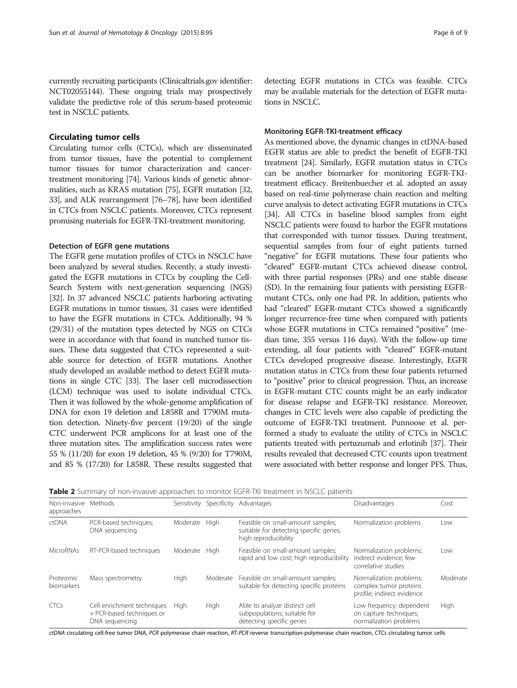<span id="page-5-0"></span>currently recruiting participants (Clinicaltrials.gov identifier: NCT02055144). These ongoing trials may prospectively validate the predictive role of this serum-based proteomic test in NSCLC patients.

#### Circulating tumor cells

Circulating tumor cells (CTCs), which are disseminated from tumor tissues, have the potential to complement tumor tissues for tumor characterization and cancertreatment monitoring [\[74\]](#page-8-0). Various kinds of genetic abnormalities, such as KRAS mutation [\[75\]](#page-8-0), EGFR mutation [\[32](#page-7-0), [33](#page-7-0)], and ALK rearrangement [\[76](#page-8-0)–[78\]](#page-8-0), have been identified in CTCs from NSCLC patients. Moreover, CTCs represent promising materials for EGFR-TKI-treatment monitoring.

#### Detection of EGFR gene mutations

The EGFR gene mutation profiles of CTCs in NSCLC have been analyzed by several studies. Recently, a study investigated the EGFR mutations in CTCs by coupling the Cell-Search System with next-generation sequencing (NGS) [[32](#page-7-0)]. In 37 advanced NSCLC patients harboring activating EGFR mutations in tumor tissues, 31 cases were identified to have the EGFR mutations in CTCs. Additionally, 94 % (29/31) of the mutation types detected by NGS on CTCs were in accordance with that found in matched tumor tissues. These data suggested that CTCs represented a suitable source for detection of EGFR mutations. Another study developed an available method to detect EGFR mutations in single CTC [\[33](#page-7-0)]. The laser cell microdissection (LCM) technique was used to isolate individual CTCs. Then it was followed by the whole-genome amplification of DNA for exon 19 deletion and L858R and T790M mutation detection. Ninety-five percent (19/20) of the single CTC underwent PCR amplicons for at least one of the three mutation sites. The amplification success rates were 55 % (11/20) for exon 19 deletion, 45 % (9/20) for T790M, and 85 % (17/20) for L858R. These results suggested that

detecting EGFR mutations in CTCs was feasible. CTCs may be available materials for the detection of EGFR mutations in NSCLC.

#### Monitoring EGFR-TKI-treatment efficacy

As mentioned above, the dynamic changes in ctDNA-based EGFR status are able to predict the benefit of EGFR-TKI treatment [\[24\]](#page-7-0). Similarly, EGFR mutation status in CTCs can be another biomarker for monitoring EGFR-TKItreatment efficacy. Breitenbuecher et al. adopted an assay based on real-time polymerase chain reaction and melting curve analysis to detect activating EGFR mutations in CTCs [[34](#page-7-0)]. All CTCs in baseline blood samples from eight NSCLC patients were found to harbor the EGFR mutations that corresponded with tumor tissues. During treatment, sequential samples from four of eight patients turned "negative" for EGFR mutations. These four patients who "cleared" EGFR-mutant CTCs achieved disease control, with three partial responses (PRs) and one stable disease (SD). In the remaining four patients with persisting EGFRmutant CTCs, only one had PR. In addition, patients who had "cleared" EGFR-mutant CTCs showed a significantly longer recurrence-free time when compared with patients whose EGFR mutations in CTCs remained "positive" (median time, 355 versus 116 days). With the follow-up time extending, all four patients with "cleared" EGFR-mutant CTCs developed progressive disease. Interestingly, EGFR mutation status in CTCs from these four patients returned to "positive" prior to clinical progression. Thus, an increase in EGFR-mutant CTC counts might be an early indicator for disease relapse and EGFR-TKI resistance. Moreover, changes in CTC levels were also capable of predicting the outcome of EGFR-TKI treatment. Punnoose et al. performed a study to evaluate the utility of CTCs in NSCLC patients treated with pertuzumab and erlotinib [\[37](#page-7-0)]. Their results revealed that decreased CTC counts upon treatment were associated with better response and longer PFS. Thus,

| <b>Table 2</b> Summary of non-invasive approaches to monitor EGFR-TKI treatment in NSCLC patients |  |  |  |
|---------------------------------------------------------------------------------------------------|--|--|--|
|                                                                                                   |  |  |  |

| Non-invasive Methods<br>approaches |                                                                           |             |          | Sensitivity Specificity Advantages                                                                  | Disadvantages                                                                   | Cost     |
|------------------------------------|---------------------------------------------------------------------------|-------------|----------|-----------------------------------------------------------------------------------------------------|---------------------------------------------------------------------------------|----------|
| ctDNA                              | PCR-based techniques;<br>DNA sequencing                                   | Moderate    | High     | Feasible on small-amount samples;<br>suitable for detecting specific genes;<br>high reproducibility | Normalization problems                                                          | Low      |
| <b>MicroRNAs</b>                   | RT-PCR-based techniques                                                   | Moderate    | Hiah     | Feasible on small-amount samples;<br>rapid and low cost; high reproducibility                       | Normalization problems;<br>indirect evidence; few<br>correlative studies        | Low      |
| Proteomic<br>biomarkers            | Mass spectrometry                                                         | High        | Moderate | Feasible on small-amount samples;<br>suitable for detecting specific proteins                       | Normalization problems;<br>complex tumor proteins<br>profile; indirect evidence | Moderate |
| <b>CTCs</b>                        | Cell enrichment techniques<br>+ PCR-based techniques or<br>DNA sequencing | <b>High</b> | High     | Able to analyze distinct cell<br>subpopulations; suitable for<br>detecting specific genes           | Low frequency; dependent<br>on capture techniques;<br>normalization problems    | High     |

ctDNA circulating cell-free tumor DNA, PCR polymerase chain reaction, RT-PCR reverse transcription-polymerase chain reaction, CTCs circulating tumor cells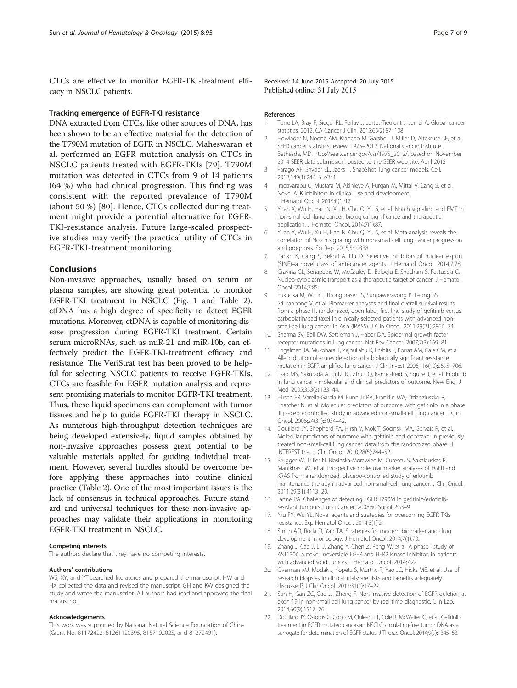<span id="page-6-0"></span>CTCs are effective to monitor EGFR-TKI-treatment efficacy in NSCLC patients.

## Tracking emergence of EGFR-TKI resistance

DNA extracted from CTCs, like other sources of DNA, has been shown to be an effective material for the detection of the T790M mutation of EGFR in NSCLC. Maheswaran et al. performed an EGFR mutation analysis on CTCs in NSCLC patients treated with EGFR-TKIs [[79](#page-8-0)]. T790M mutation was detected in CTCs from 9 of 14 patients (64 %) who had clinical progression. This finding was consistent with the reported prevalence of T790M (about 50 %) [[80](#page-8-0)]. Hence, CTCs collected during treatment might provide a potential alternative for EGFR-TKI-resistance analysis. Future large-scaled prospective studies may verify the practical utility of CTCs in EGFR-TKI-treatment monitoring.

#### Conclusions

Non-invasive approaches, usually based on serum or plasma samples, are showing great potential to monitor EGFR-TKI treatment in NSCLC (Fig. [1](#page-2-0) and Table [2](#page-5-0)). ctDNA has a high degree of specificity to detect EGFR mutations. Moreover, ctDNA is capable of monitoring disease progression during EGFR-TKI treatment. Certain serum microRNAs, such as miR-21 and miR-10b, can effectively predict the EGFR-TKI-treatment efficacy and resistance. The VeriStrat test has been proved to be helpful for selecting NSCLC patients to receive EGFR-TKIs. CTCs are feasible for EGFR mutation analysis and represent promising materials to monitor EGFR-TKI treatment. Thus, these liquid specimens can complement with tumor tissues and help to guide EGFR-TKI therapy in NSCLC. As numerous high-throughput detection techniques are being developed extensively, liquid samples obtained by non-invasive approaches possess great potential to be valuable materials applied for guiding individual treatment. However, several hurdles should be overcome before applying these approaches into routine clinical practice (Table [2](#page-5-0)). One of the most important issues is the lack of consensus in technical approaches. Future standard and universal techniques for these non-invasive approaches may validate their applications in monitoring EGFR-TKI treatment in NSCLC.

#### Competing interests

The authors declare that they have no competing interests.

#### Authors' contributions

WS, XY, and YT searched literatures and prepared the manuscript. HW and HX collected the data and revised the manuscript. GH and KW designed the study and wrote the manuscript. All authors had read and approved the final manuscript.

#### Acknowledgements

This work was supported by National Natural Science Foundation of China (Grant No. 81172422, 81261120395, 8157102025, and 81272491).

Received: 14 June 2015 Accepted: 20 July 2015<br>Published online: 31 July 2015

#### References

- 1. Torre LA, Bray F, Siegel RL, Ferlay J, Lortet-Tieulent J, Jemal A. Global cancer statistics, 2012. CA Cancer J Clin. 2015;65(2):87–108.
- 2. Howlader N, Noone AM, Krapcho M, Garshell J, Miller D, Altekruse SF, et al. SEER cancer statistics review, 1975–2012. National Cancer Institute. Bethesda, MD, [http://seer.cancer.gov/csr/1975\\_2012/,](http://seer.cancer.gov/csr/1975_2012/) based on November 2014 SEER data submission, posted to the SEER web site, April 2015
- 3. Farago AF, Snyder EL, Jacks T. SnapShot: lung cancer models. Cell. 2012;149(1):246–6. e241.
- 4. Iragavarapu C, Mustafa M, Akinleye A, Furqan M, Mittal V, Cang S, et al. Novel ALK inhibitors in clinical use and development. J Hematol Oncol. 2015;8(1):17.
- 5. Yuan X, Wu H, Han N, Xu H, Chu Q, Yu S, et al. Notch signaling and EMT in non-small cell lung cancer: biological significance and therapeutic application. J Hematol Oncol. 2014;7(1):87.
- 6. Yuan X, Wu H, Xu H, Han N, Chu Q, Yu S, et al. Meta-analysis reveals the correlation of Notch signaling with non-small cell lung cancer progression and prognosis. Sci Rep. 2015;5:10338.
- 7. Parikh K, Cang S, Sekhri A, Liu D. Selective inhibitors of nuclear export (SINE)–a novel class of anti-cancer agents. J Hematol Oncol. 2014;7:78.
- 8. Gravina GL, Senapedis W, McCauley D, Baloglu E, Shacham S, Festuccia C. Nucleo-cytoplasmic transport as a therapeutic target of cancer. J Hematol Oncol. 2014;7:85.
- 9. Fukuoka M, Wu YL, Thongprasert S, Sunpaweravong P, Leong SS, Sriuranpong V, et al. Biomarker analyses and final overall survival results from a phase III, randomized, open-label, first-line study of gefitinib versus carboplatin/paclitaxel in clinically selected patients with advanced nonsmall-cell lung cancer in Asia (IPASS). J Clin Oncol. 2011;29(21):2866–74.
- 10. Sharma SV, Bell DW, Settleman J, Haber DA. Epidermal growth factor receptor mutations in lung cancer. Nat Rev Cancer. 2007;7(3):169–81.
- 11. Engelman JA, Mukohara T, Zejnullahu K, Lifshits E, Borras AM, Gale CM, et al. Allelic dilution obscures detection of a biologically significant resistance mutation in EGFR-amplified lung cancer. J Clin Invest. 2006;116(10):2695–706.
- 12. Tsao MS, Sakurada A, Cutz JC, Zhu CQ, Kamel-Reid S, Squire J, et al. Erlotinib in lung cancer - molecular and clinical predictors of outcome. New Engl J Med. 2005;353(2):133–44.
- 13. Hirsch FR, Varella-Garcia M, Bunn Jr PA, Franklin WA, Dziadziuszko R, Thatcher N, et al. Molecular predictors of outcome with gefitinib in a phase III placebo-controlled study in advanced non-small-cell lung cancer. J Clin Oncol. 2006;24(31):5034–42.
- 14. Douillard JY, Shepherd FA, Hirsh V, Mok T, Socinski MA, Gervais R, et al. Molecular predictors of outcome with gefitinib and docetaxel in previously treated non-small-cell lung cancer: data from the randomized phase III INTEREST trial. J Clin Oncol. 2010;28(5):744–52.
- 15. Brugger W, Triller N, Blasinska-Morawiec M, Curescu S, Sakalauskas R, Manikhas GM, et al. Prospective molecular marker analyses of EGFR and KRAS from a randomized, placebo-controlled study of erlotinib maintenance therapy in advanced non-small-cell lung cancer. J Clin Oncol. 2011;29(31):4113–20.
- 16. Janne PA. Challenges of detecting EGFR T790M in gefitinib/erlotinibresistant tumours. Lung Cancer. 2008;60 Suppl 2:S3–9.
- 17. Niu FY, Wu YL. Novel agents and strategies for overcoming EGFR TKIs resistance. Exp Hematol Oncol. 2014;3(1):2.
- 18. Smith AD, Roda D, Yap TA. Strategies for modern biomarker and drug development in oncology. J Hematol Oncol. 2014;7(1):70.
- 19. Zhang J, Cao J, Li J, Zhang Y, Chen Z, Peng W, et al. A phase I study of AST1306, a novel irreversible EGFR and HER2 kinase inhibitor, in patients with advanced solid tumors. J Hematol Oncol. 2014;7:22.
- 20. Overman MJ, Modak J, Kopetz S, Murthy R, Yao JC, Hicks ME, et al. Use of research biopsies in clinical trials: are risks and benefits adequately discussed? J Clin Oncol. 2013;31(1):17–22.
- 21. Sun H, Gan ZC, Gao JJ, Zheng F. Non-invasive detection of EGFR deletion at exon 19 in non-small cell lung cancer by real time diagnostic. Clin Lab. 2014;60(9):1517–26.
- 22. Douillard JY, Ostoros G, Cobo M, Ciuleanu T, Cole R, McWalter G, et al. Gefitinib treatment in EGFR mutated caucasian NSCLC: circulating-free tumor DNA as a surrogate for determination of EGFR status. J Thorac Oncol. 2014;9(9):1345–53.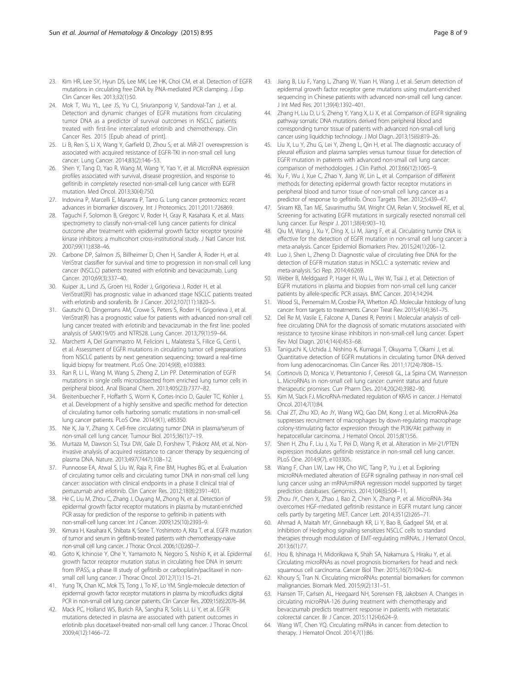- <span id="page-7-0"></span>23. Kim HR, Lee SY, Hyun DS, Lee MK, Lee HK, Choi CM, et al. Detection of EGFR mutations in circulating free DNA by PNA-mediated PCR clamping. J Exp Clin Cancer Res. 2013;32(1):50.
- 24. Mok T, Wu YL, Lee JS, Yu CJ, Sriuranpong V, Sandoval-Tan J, et al. Detection and dynamic changes of EGFR mutations from circulating tumor DNA as a predictor of survival outcomes in NSCLC patients treated with first-line intercalated erlotinib and chemotherapy. Clin Cancer Res. 2015 [Epub ahead of print].
- 25. Li B, Ren S, Li X, Wang Y, Garfield D, Zhou S, et al. MiR-21 overexpression is associated with acquired resistance of EGFR-TKI in non-small cell lung cancer. Lung Cancer. 2014;83(2):146–53.
- 26. Shen Y, Tang D, Yao R, Wang M, Wang Y, Yao Y, et al. MicroRNA expression profiles associated with survival, disease progression, and response to gefitinib in completely resected non-small-cell lung cancer with EGFR mutation. Med Oncol. 2013;30(4):750.
- 27. Indovina P, Marcelli E, Maranta P, Tarro G. Lung cancer proteomics: recent advances in biomarker discovery. Int J Proteomics. 2011;2011:726869.
- 28. Taguchi F, Solomon B, Gregorc V, Roder H, Gray R, Kasahara K, et al. Mass spectrometry to classify non-small-cell lung cancer patients for clinical outcome after treatment with epidermal growth factor receptor tyrosine kinase inhibitors: a multicohort cross-institutional study. J Natl Cancer Inst. 2007;99(11):838–46.
- 29. Carbone DP, Salmon JS, Billheimer D, Chen H, Sandler A, Roder H, et al. VeriStrat classifier for survival and time to progression in non-small cell lung cancer (NSCLC) patients treated with erlotinib and bevacizumab. Lung Cancer. 2010;69(3):337–40.
- 30. Kuiper JL, Lind JS, Groen HJ, Roder J, Grigorieva J, Roder H, et al. VeriStrat((R)) has prognostic value in advanced stage NSCLC patients treated with erlotinib and sorafenib. Br J Cancer. 2012;107(11):1820–5.
- 31. Gautschi O, Dingemans AM, Crowe S, Peters S, Roder H, Grigorieva J, et al. VeriStrat(R) has a prognostic value for patients with advanced non-small cell lung cancer treated with erlotinib and bevacizumab in the first line: pooled analysis of SAKK19/05 and NTR528. Lung Cancer. 2013;79(1):59–64.
- 32. Marchetti A, Del Grammastro M, Felicioni L, Malatesta S, Filice G, Centi I, et al. Assessment of EGFR mutations in circulating tumor cell preparations from NSCLC patients by next generation sequencing: toward a real-time liquid biopsy for treatment. PLoS One. 2014;9(8), e103883.
- 33. Ran R, Li L, Wang M, Wang S, Zheng Z, Lin PP. Determination of EGFR mutations in single cells microdissected from enriched lung tumor cells in peripheral blood. Anal Bioanal Chem. 2013;405(23):7377–82.
- 34. Breitenbuecher F, Hoffarth S, Worm K, Cortes-Incio D, Gauler TC, Kohler J, et al. Development of a highly sensitive and specific method for detection of circulating tumor cells harboring somatic mutations in non-small-cell lung cancer patients. PLoS One. 2014;9(1), e85350.
- 35. Nie K, Jia Y, Zhang X. Cell-free circulating tumor DNA in plasma/serum of non-small cell lung cancer. Tumour Biol. 2015;36(1):7–19.
- 36. Murtaza M, Dawson SJ, Tsui DW, Gale D, Forshew T, Piskorz AM, et al. Noninvasive analysis of acquired resistance to cancer therapy by sequencing of plasma DNA. Nature. 2013;497(7447):108–12.
- 37. Punnoose EA, Atwal S, Liu W, Raja R, Fine BM, Hughes BG, et al. Evaluation of circulating tumor cells and circulating tumor DNA in non-small cell lung cancer: association with clinical endpoints in a phase II clinical trial of pertuzumab and erlotinib. Clin Cancer Res. 2012;18(8):2391–401.
- 38. He C, Liu M, Zhou C, Zhang J, Ouyang M, Zhong N, et al. Detection of epidermal growth factor receptor mutations in plasma by mutant-enriched PCR assay for prediction of the response to gefitinib in patients with non-small-cell lung cancer. Int J Cancer. 2009;125(10):2393–9.
- 39. Kimura H, Kasahara K, Shibata K, Sone T, Yoshimoto A, Kita T, et al. EGFR mutation of tumor and serum in gefitinib-treated patients with chemotherapy-naive non-small cell lung cancer. J Thorac Oncol. 2006;1(3):260–7.
- 40. Goto K, Ichinose Y, Ohe Y, Yamamoto N, Negoro S, Nishio K, et al. Epidermal growth factor receptor mutation status in circulating free DNA in serum: from IPASS, a phase III study of gefitinib or carboplatin/paclitaxel in nonsmall cell lung cancer. J Thorac Oncol. 2012;7(1):115–21.
- 41. Yung TK, Chan KC, Mok TS, Tong J, To KF, Lo YM. Single-molecule detection of epidermal growth factor receptor mutations in plasma by microfluidics digital PCR in non-small cell lung cancer patients. Clin Cancer Res. 2009;15(6):2076–84.
- 42. Mack PC, Holland WS, Burich RA, Sangha R, Solis LJ, Li Y, et al. EGFR mutations detected in plasma are associated with patient outcomes in erlotinib plus docetaxel-treated non-small cell lung cancer. J Thorac Oncol. 2009;4(12):1466–72.
- 43. Jiang B, Liu F, Yang L, Zhang W, Yuan H, Wang J, et al. Serum detection of epidermal growth factor receptor gene mutations using mutant-enriched sequencing in Chinese patients with advanced non-small cell lung cancer. J Int Med Res. 2011;39(4):1392–401.
- 44. Zhang H, Liu D, Li S, Zheng Y, Yang X, Li X, et al. Comparison of EGFR signaling pathway somatic DNA mutations derived from peripheral blood and corresponding tumor tissue of patients with advanced non-small-cell lung cancer using liquidchip technology. J Mol Diagn. 2013;15(6):819–26.
- 45. Liu X, Lu Y, Zhu G, Lei Y, Zheng L, Qin H, et al. The diagnostic accuracy of pleural effusion and plasma samples versus tumour tissue for detection of EGFR mutation in patients with advanced non-small cell lung cancer: comparison of methodologies. J Clin Pathol. 2013;66(12):1065–9.
- 46. Xu F, Wu J, Xue C, Zhao Y, Jiang W, Lin L, et al. Comparison of different methods for detecting epidermal growth factor receptor mutations in peripheral blood and tumor tissue of non-small cell lung cancer as a predictor of response to gefitinib. Onco Targets Ther. 2012;5:439–47.
- 47. Sriram KB, Tan ME, Savarimuthu SM, Wright CM, Relan V, Stockwell RE, et al. Screening for activating EGFR mutations in surgically resected nonsmall cell lung cancer. Eur Respir J. 2011;38(4):903–10.
- 48. Qiu M, Wang J, Xu Y, Ding X, Li M, Jiang F, et al. Circulating tumor DNA is effective for the detection of EGFR mutation in non-small cell lung cancer: a meta-analysis. Cancer Epidemiol Biomarkers Prev. 2015;24(1):206–12.
- 49. Luo J, Shen L, Zheng D. Diagnostic value of circulating free DNA for the detection of EGFR mutation status in NSCLC: a systematic review and meta-analysis. Sci Rep. 2014;4:6269.
- 50. Weber B, Meldgaard P, Hager H, Wu L, Wei W, Tsai J, et al. Detection of EGFR mutations in plasma and biopsies from non-small cell lung cancer patients by allele-specific PCR assays. BMC Cancer. 2014;14:294.
- 51. Wood SL, Pernemalm M, Crosbie PA, Whetton AD. Molecular histology of lung cancer: from targets to treatments. Cancer Treat Rev. 2015;41(4):361–75.
- 52. Del Re M, Vasile E, Falcone A, Danesi R, Petrini I. Molecular analysis of cellfree circulating DNA for the diagnosis of somatic mutations associated with resistance to tyrosine kinase inhibitors in non-small-cell lung cancer. Expert Rev Mol Diagn. 2014;14(4):453–68.
- 53. Taniguchi K, Uchida J, Nishino K, Kumagai T, Okuyama T, Okami J, et al. Quantitative detection of EGFR mutations in circulating tumor DNA derived from lung adenocarcinomas. Clin Cancer Res. 2011;17(24):7808–15.
- 54. Cortinovis D, Monica V, Pietrantonio F, Ceresoli GL, La Spina CM, Wannesson L. MicroRNAs in non-small cell lung cancer: current status and future therapeutic promises. Curr Pharm Des. 2014;20(24):3982–90.
- 55. Kim M, Slack FJ. MicroRNA-mediated regulation of KRAS in cancer. J Hematol Oncol. 2014;7(1):84.
- 56. Chai ZT, Zhu XD, Ao JY, Wang WQ, Gao DM, Kong J, et al. MicroRNA-26a suppresses recruitment of macrophages by down-regulating macrophage colony-stimulating factor expression through the PI3K/Akt pathway in hepatocellular carcinoma. J Hematol Oncol. 2015;8(1):56.
- 57. Shen H, Zhu F, Liu J, Xu T, Pei D, Wang R, et al. Alteration in Mir-21/PTEN expression modulates gefitinib resistance in non-small cell lung cancer. PLoS One. 2014;9(7), e103305.
- 58. Wang F, Chan LW, Law HK, Cho WC, Tang P, Yu J, et al. Exploring microRNA-mediated alteration of EGFR signaling pathway in non-small cell lung cancer using an mRNA:miRNA regression model supported by target prediction databases. Genomics. 2014;104(6):504–11.
- 59. Zhou JY, Chen X, Zhao J, Bao Z, Chen X, Zhang P, et al. MicroRNA-34a overcomes HGF-mediated gefitinib resistance in EGFR mutant lung cancer cells partly by targeting MET. Cancer Lett. 2014;351(2):265–71.
- 60. Ahmad A, Maitah MY, Ginnebaugh KR, Li Y, Bao B, Gadgeel SM, et al. Inhibition of Hedgehog signaling sensitizes NSCLC cells to standard therapies through modulation of EMT-regulating miRNAs. J Hematol Oncol. 2013;6(1):77.
- 61. Hou B, Ishinaga H, Midorikawa K, Shah SA, Nakamura S, Hiraku Y, et al. Circulating microRNAs as novel prognosis biomarkers for head and neck squamous cell carcinoma. Cancer Biol Ther. 2015;16(7):1042–6.
- 62. Khoury S, Tran N. Circulating microRNAs: potential biomarkers for common malignancies. Biomark Med. 2015;9(2):131–51.
- 63. Hansen TF, Carlsen AL, Heegaard NH, Sorensen FB, Jakobsen A. Changes in circulating microRNA-126 during treatment with chemotherapy and bevacizumab predicts treatment response in patients with metastatic colorectal cancer. Br J Cancer. 2015;112(4):624–9.
- 64. Wang WT, Chen YQ. Circulating miRNAs in cancer: from detection to therapy. J Hematol Oncol. 2014;7(1):86.